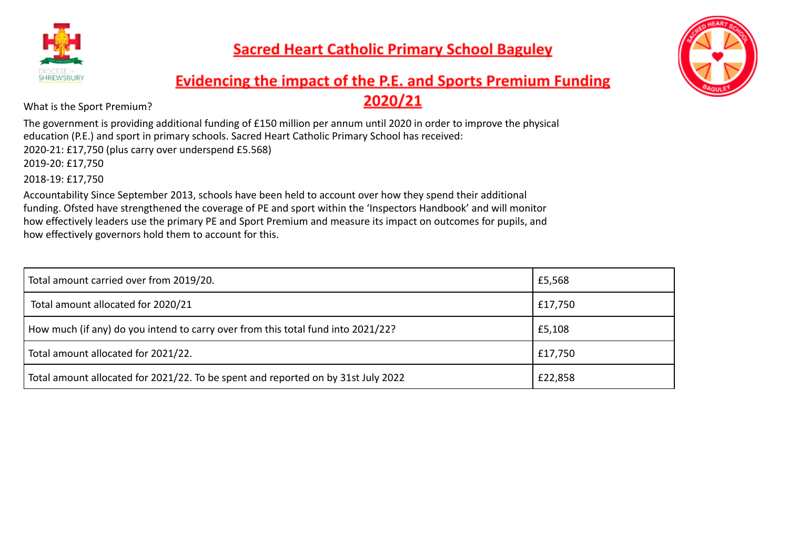



# **Evidencing the impact of the P.E. and Sports Premium Funding** 2020/21

What is the Sport Premium?

The government is providing additional funding of £150 million per annum until 2020 in order to improve the physical education (P.E.) and sport in primary schools. Sacred Heart Catholic Primary School has received: 2020-21: £17,750 (plus carry over underspend £5.568) 2019-20: £17,750 2018-19: £17,750

Accountability Since September 2013, schools have been held to account over how they spend their additional funding. Ofsted have strengthened the coverage of PE and sport within the 'Inspectors Handbook' and will monitor how effectively leaders use the primary PE and Sport Premium and measure its impact on outcomes for pupils, and how effectively governors hold them to account for this.

| Total amount carried over from 2019/20.                                           | £5,568  |
|-----------------------------------------------------------------------------------|---------|
| Total amount allocated for 2020/21                                                | £17,750 |
| How much (if any) do you intend to carry over from this total fund into 2021/22?  | £5,108  |
| Total amount allocated for 2021/22.                                               | £17,750 |
| Total amount allocated for 2021/22. To be spent and reported on by 31st July 2022 | £22,858 |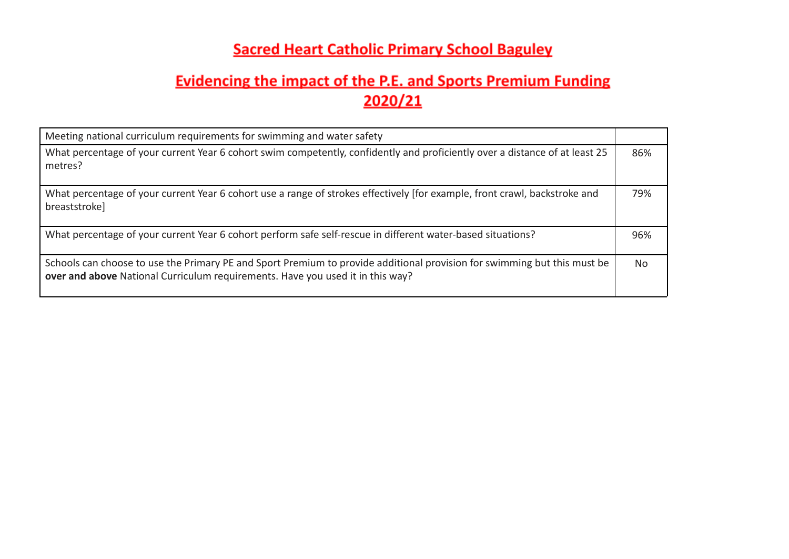| Meeting national curriculum requirements for swimming and water safety                                                                                                                                     |                |
|------------------------------------------------------------------------------------------------------------------------------------------------------------------------------------------------------------|----------------|
| What percentage of your current Year 6 cohort swim competently, confidently and proficiently over a distance of at least 25<br>metres?                                                                     | 86%            |
| What percentage of your current Year 6 cohort use a range of strokes effectively [for example, front crawl, backstroke and<br>breaststroke]                                                                | 79%            |
| What percentage of your current Year 6 cohort perform safe self-rescue in different water-based situations?                                                                                                | 96%            |
| Schools can choose to use the Primary PE and Sport Premium to provide additional provision for swimming but this must be<br>over and above National Curriculum requirements. Have you used it in this way? | N <sub>o</sub> |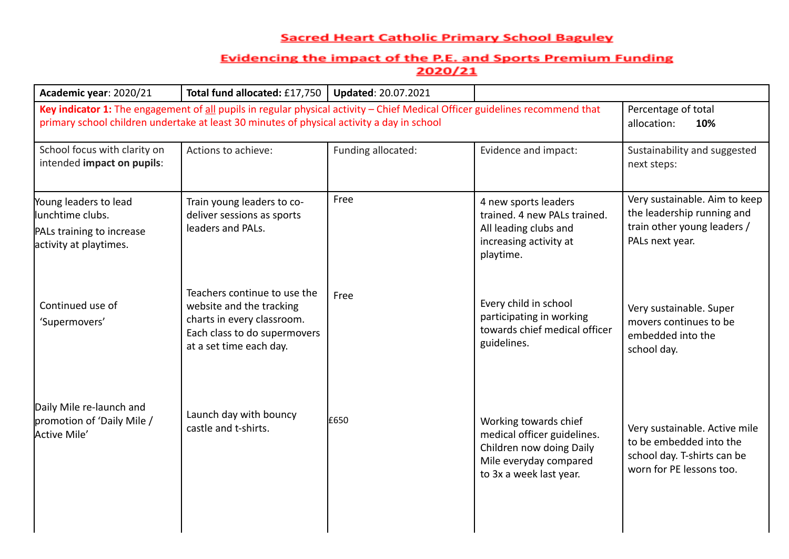| Academic year: 2020/21                                                                                                                                                                                                     | Total fund allocated: £17,750                                                                                                                     | <b>Updated: 20.07.2021</b> |                                                                                                                                       |                                                                                                                     |
|----------------------------------------------------------------------------------------------------------------------------------------------------------------------------------------------------------------------------|---------------------------------------------------------------------------------------------------------------------------------------------------|----------------------------|---------------------------------------------------------------------------------------------------------------------------------------|---------------------------------------------------------------------------------------------------------------------|
| Key indicator 1: The engagement of all pupils in regular physical activity - Chief Medical Officer guidelines recommend that<br>primary school children undertake at least 30 minutes of physical activity a day in school | Percentage of total<br>allocation:<br>10%                                                                                                         |                            |                                                                                                                                       |                                                                                                                     |
| School focus with clarity on<br>intended impact on pupils:                                                                                                                                                                 | Actions to achieve:                                                                                                                               | Funding allocated:         | Evidence and impact:                                                                                                                  | Sustainability and suggested<br>next steps:                                                                         |
| Young leaders to lead<br>llunchtime clubs.<br>PALs training to increase<br>activity at playtimes.                                                                                                                          | Train young leaders to co-<br>deliver sessions as sports<br>leaders and PALs.                                                                     | Free                       | 4 new sports leaders<br>trained. 4 new PALs trained.<br>All leading clubs and<br>increasing activity at<br>playtime.                  | Very sustainable. Aim to keep<br>the leadership running and<br>train other young leaders /<br>PALs next year.       |
| Continued use of<br>'Supermovers'                                                                                                                                                                                          | Teachers continue to use the<br>website and the tracking<br>charts in every classroom.<br>Each class to do supermovers<br>at a set time each day. | Free                       | Every child in school<br>participating in working<br>towards chief medical officer<br>guidelines.                                     | Very sustainable. Super<br>movers continues to be<br>embedded into the<br>school day.                               |
| Daily Mile re-launch and<br>promotion of 'Daily Mile /<br>Active Mile'                                                                                                                                                     | Launch day with bouncy<br>castle and t-shirts.                                                                                                    | £650                       | Working towards chief<br>medical officer guidelines.<br>Children now doing Daily<br>Mile everyday compared<br>to 3x a week last year. | Very sustainable. Active mile<br>to be embedded into the<br>school day. T-shirts can be<br>worn for PE lessons too. |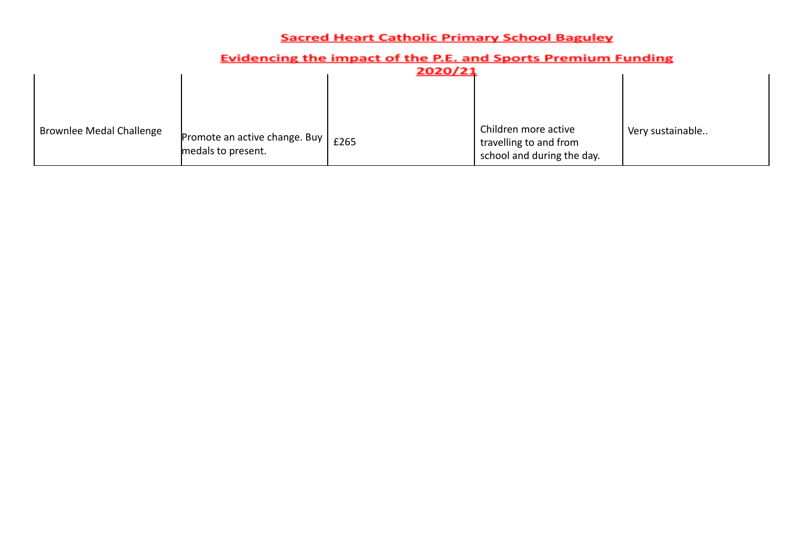|                                 |                                                       | 2020/21 |                                                                              |                  |
|---------------------------------|-------------------------------------------------------|---------|------------------------------------------------------------------------------|------------------|
|                                 |                                                       |         |                                                                              |                  |
| <b>Brownlee Medal Challenge</b> | Promote an active change. Buy  <br>medals to present. | £265    | Children more active<br>travelling to and from<br>school and during the day. | Very sustainable |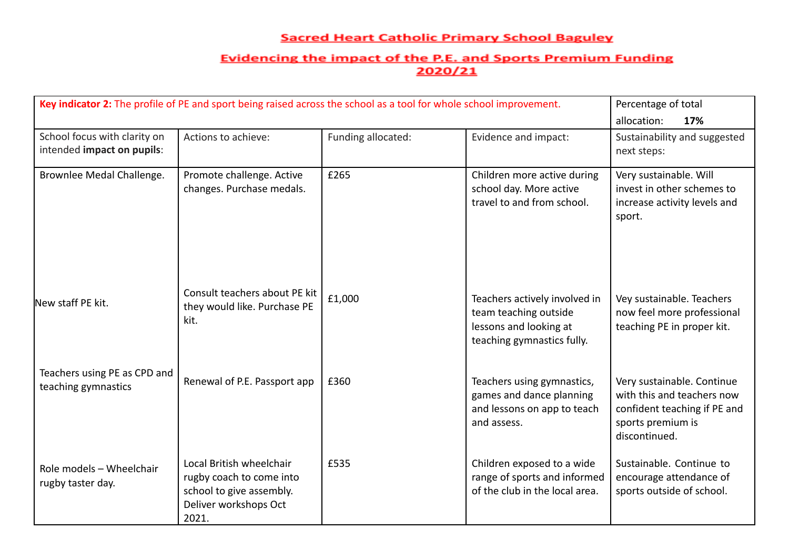| Key indicator 2: The profile of PE and sport being raised across the school as a tool for whole school improvement. | Percentage of total                                                                                                |                    |                                                                                                                |                                                                                                                                |
|---------------------------------------------------------------------------------------------------------------------|--------------------------------------------------------------------------------------------------------------------|--------------------|----------------------------------------------------------------------------------------------------------------|--------------------------------------------------------------------------------------------------------------------------------|
|                                                                                                                     |                                                                                                                    |                    |                                                                                                                | allocation:<br>17%                                                                                                             |
| School focus with clarity on<br>intended impact on pupils:                                                          | Actions to achieve:                                                                                                | Funding allocated: | Evidence and impact:                                                                                           | Sustainability and suggested<br>next steps:                                                                                    |
| Brownlee Medal Challenge.                                                                                           | Promote challenge. Active<br>changes. Purchase medals.                                                             | £265               | Children more active during<br>school day. More active<br>travel to and from school.                           | Very sustainable. Will<br>invest in other schemes to<br>increase activity levels and<br>sport.                                 |
| New staff PE kit.                                                                                                   | Consult teachers about PE kit<br>they would like. Purchase PE<br>kit.                                              | £1,000             | Teachers actively involved in<br>team teaching outside<br>lessons and looking at<br>teaching gymnastics fully. | Vey sustainable. Teachers<br>now feel more professional<br>teaching PE in proper kit.                                          |
| Teachers using PE as CPD and<br>teaching gymnastics                                                                 | Renewal of P.E. Passport app                                                                                       | £360               | Teachers using gymnastics,<br>games and dance planning<br>and lessons on app to teach<br>and assess.           | Very sustainable. Continue<br>with this and teachers now<br>confident teaching if PE and<br>sports premium is<br>discontinued. |
| Role models - Wheelchair<br>rugby taster day.                                                                       | Local British wheelchair<br>rugby coach to come into<br>school to give assembly.<br>Deliver workshops Oct<br>2021. | £535               | Children exposed to a wide<br>range of sports and informed<br>of the club in the local area.                   | Sustainable. Continue to<br>encourage attendance of<br>sports outside of school.                                               |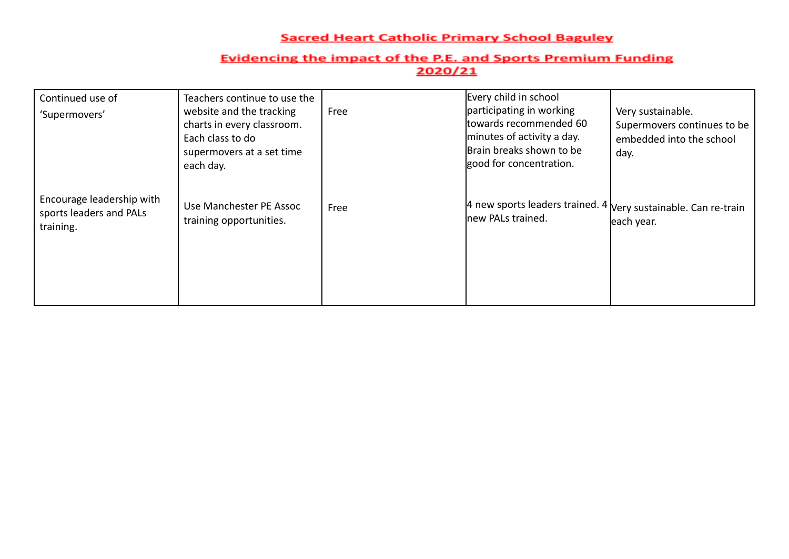| Continued use of<br>'Supermovers'                                 | Teachers continue to use the<br>website and the tracking<br>charts in every classroom.<br>Each class to do<br>supermovers at a set time<br>each day. | Free | Every child in school<br>participating in working<br>ltowards recommended 60<br>minutes of activity a day.<br>Brain breaks shown to be<br>good for concentration. | Very sustainable.<br>Supermovers continues to be<br>embedded into the school<br>day. |
|-------------------------------------------------------------------|------------------------------------------------------------------------------------------------------------------------------------------------------|------|-------------------------------------------------------------------------------------------------------------------------------------------------------------------|--------------------------------------------------------------------------------------|
| Encourage leadership with<br>sports leaders and PALs<br>training. | Use Manchester PE Assoc<br>training opportunities.                                                                                                   | Free | 4 new sports leaders trained. 4<br>new PALs trained.                                                                                                              | Very sustainable. Can re-train<br>each year.                                         |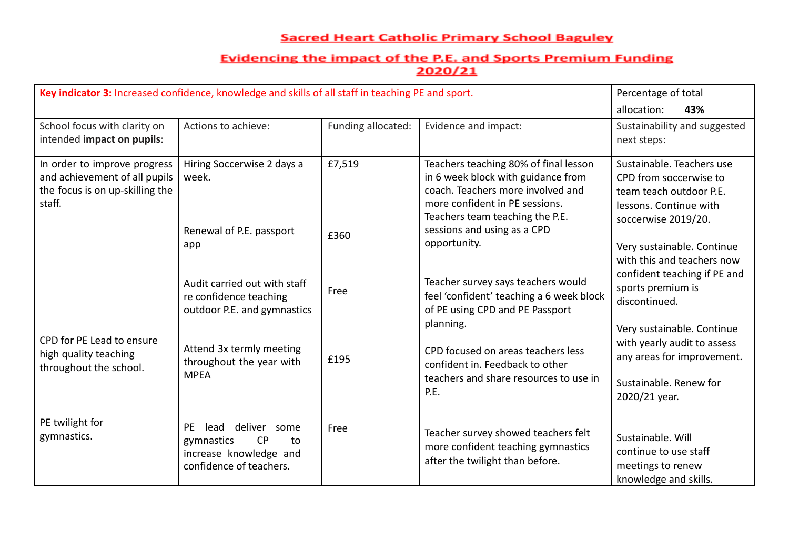| Key indicator 3: Increased confidence, knowledge and skills of all staff in teaching PE and sport.         | Percentage of total                                                                                       |                    |                                                                                                                                                                                       |                                                                                                                                 |
|------------------------------------------------------------------------------------------------------------|-----------------------------------------------------------------------------------------------------------|--------------------|---------------------------------------------------------------------------------------------------------------------------------------------------------------------------------------|---------------------------------------------------------------------------------------------------------------------------------|
|                                                                                                            |                                                                                                           |                    |                                                                                                                                                                                       | allocation:<br>43%                                                                                                              |
| School focus with clarity on<br>intended impact on pupils:                                                 | Actions to achieve:                                                                                       | Funding allocated: | Evidence and impact:                                                                                                                                                                  | Sustainability and suggested<br>next steps:                                                                                     |
| In order to improve progress<br>and achievement of all pupils<br>the focus is on up-skilling the<br>staff. | Hiring Soccerwise 2 days a<br>week.                                                                       | £7,519             | Teachers teaching 80% of final lesson<br>in 6 week block with guidance from<br>coach. Teachers more involved and<br>more confident in PE sessions.<br>Teachers team teaching the P.E. | Sustainable. Teachers use<br>CPD from soccerwise to<br>team teach outdoor P.E.<br>lessons. Continue with<br>soccerwise 2019/20. |
|                                                                                                            | Renewal of P.E. passport<br>app                                                                           | £360               | sessions and using as a CPD<br>opportunity.                                                                                                                                           | Very sustainable. Continue<br>with this and teachers now<br>confident teaching if PE and                                        |
|                                                                                                            | Audit carried out with staff<br>re confidence teaching<br>outdoor P.E. and gymnastics                     | Free               | Teacher survey says teachers would<br>feel 'confident' teaching a 6 week block<br>of PE using CPD and PE Passport<br>planning.                                                        | sports premium is<br>discontinued.<br>Very sustainable. Continue                                                                |
| CPD for PE Lead to ensure<br>high quality teaching<br>throughout the school.                               | Attend 3x termly meeting<br>throughout the year with<br><b>MPEA</b>                                       | £195               | CPD focused on areas teachers less<br>confident in. Feedback to other<br>teachers and share resources to use in<br>P.E.                                                               | with yearly audit to assess<br>any areas for improvement.<br>Sustainable, Renew for<br>2020/21 year.                            |
| PE twilight for<br>gymnastics.                                                                             | deliver some<br>PE<br>lead<br>CP<br>gymnastics<br>to<br>increase knowledge and<br>confidence of teachers. | Free               | Teacher survey showed teachers felt<br>more confident teaching gymnastics<br>after the twilight than before.                                                                          | Sustainable. Will<br>continue to use staff<br>meetings to renew<br>knowledge and skills.                                        |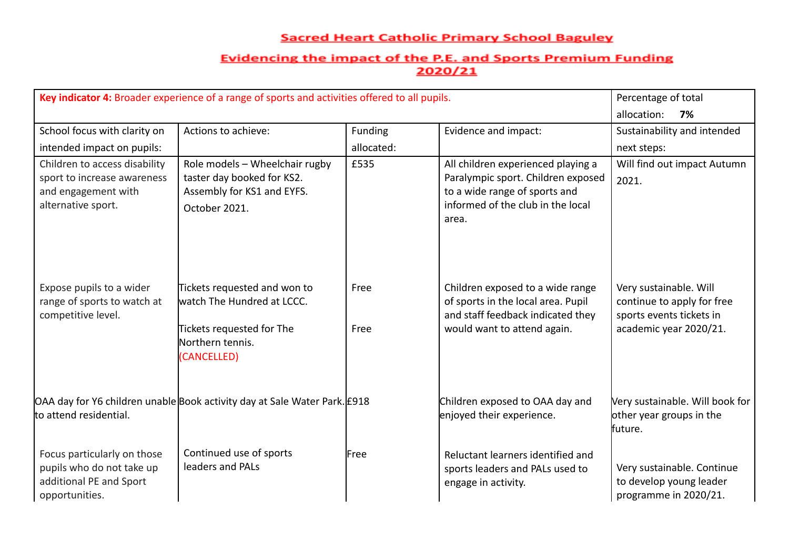| Key indicator 4: Broader experience of a range of sports and activities offered to all pupils.            | Percentage of total<br>allocation:<br>7%                                                                                   |                       |                                                                                                                                                         |                                                                                                            |
|-----------------------------------------------------------------------------------------------------------|----------------------------------------------------------------------------------------------------------------------------|-----------------------|---------------------------------------------------------------------------------------------------------------------------------------------------------|------------------------------------------------------------------------------------------------------------|
| School focus with clarity on<br>intended impact on pupils:                                                | Actions to achieve:                                                                                                        | Funding<br>allocated: | Evidence and impact:                                                                                                                                    | Sustainability and intended<br>next steps:                                                                 |
| Children to access disability<br>sport to increase awareness<br>and engagement with<br>alternative sport. | Role models - Wheelchair rugby<br>taster day booked for KS2.<br>Assembly for KS1 and EYFS.<br>October 2021.                | £535                  | All children experienced playing a<br>Paralympic sport. Children exposed<br>to a wide range of sports and<br>informed of the club in the local<br>area. | Will find out impact Autumn<br>2021.                                                                       |
| Expose pupils to a wider<br>range of sports to watch at<br>competitive level.                             | Tickets requested and won to<br>watch The Hundred at LCCC.<br>Tickets requested for The<br>Northern tennis.<br>(CANCELLED) | Free<br>Free          | Children exposed to a wide range<br>of sports in the local area. Pupil<br>and staff feedback indicated they<br>would want to attend again.              | Very sustainable. Will<br>continue to apply for free<br>sports events tickets in<br>academic year 2020/21. |
| to attend residential.                                                                                    | OAA day for Y6 children unable Book activity day at Sale Water Park. £918                                                  |                       | Children exposed to OAA day and<br>enjoyed their experience.                                                                                            | Very sustainable. Will book for<br>other year groups in the<br>future.                                     |
| Focus particularly on those<br>pupils who do not take up<br>additional PE and Sport<br>opportunities.     | Continued use of sports<br>leaders and PALs                                                                                | Free                  | Reluctant learners identified and<br>sports leaders and PALs used to<br>engage in activity.                                                             | Very sustainable. Continue<br>to develop young leader<br>programme in 2020/21.                             |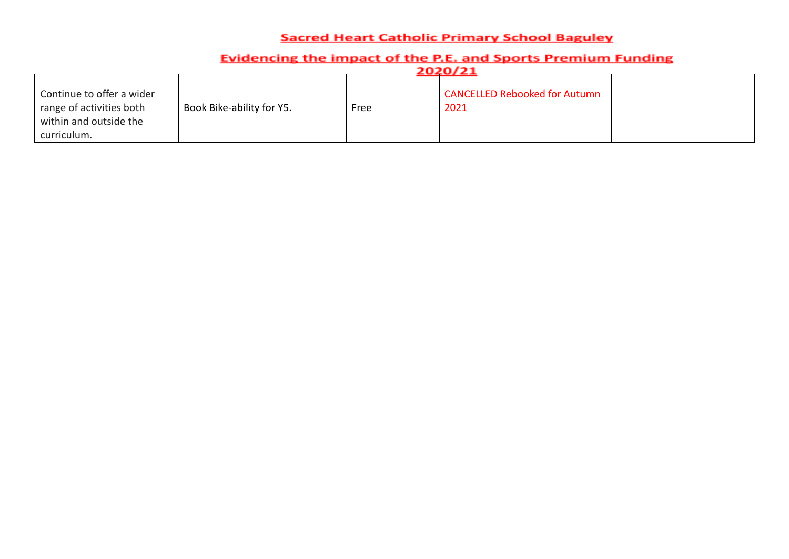|                                                                                                |                           |      | 2020/21                                      |
|------------------------------------------------------------------------------------------------|---------------------------|------|----------------------------------------------|
| Continue to offer a wider<br>range of activities both<br>within and outside the<br>curriculum. | Book Bike-ability for Y5. | Free | <b>CANCELLED Rebooked for Autumn</b><br>2021 |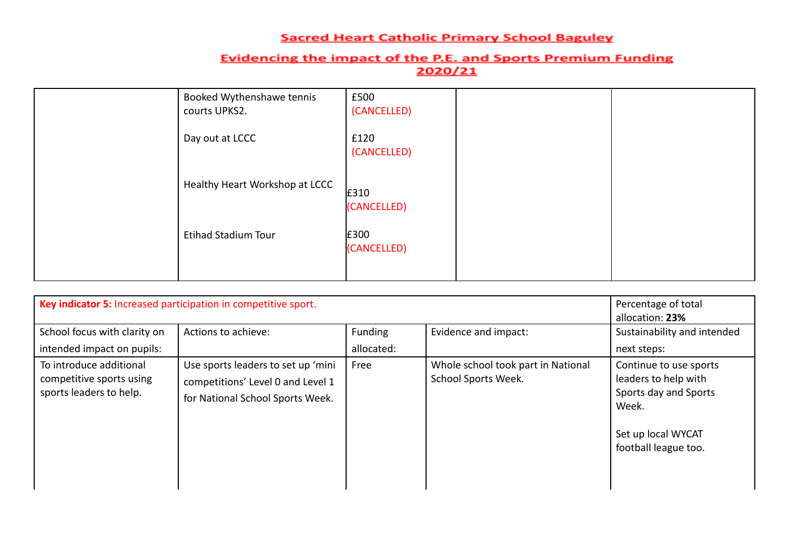| Booked Wythenshawe tennis<br>courts UPKS2. | £500<br>(CANCELLED) |  |
|--------------------------------------------|---------------------|--|
| Day out at LCCC                            | £120<br>(CANCELLED) |  |
| Healthy Heart Workshop at LCCC             | £310<br>(CANCELLED) |  |
| <b>Etihad Stadium Tour</b>                 | £300<br>(CANCELLED) |  |

| Key indicator 5: Increased participation in competitive sport.                 | Percentage of total<br>allocation: 23%                                                                      |                       |                                                           |                                                                                                                                |
|--------------------------------------------------------------------------------|-------------------------------------------------------------------------------------------------------------|-----------------------|-----------------------------------------------------------|--------------------------------------------------------------------------------------------------------------------------------|
| School focus with clarity on<br>intended impact on pupils:                     | Actions to achieve:                                                                                         | Funding<br>allocated: | Evidence and impact:                                      | Sustainability and intended<br>next steps:                                                                                     |
| To introduce additional<br>competitive sports using<br>sports leaders to help. | Use sports leaders to set up 'mini<br>competitions' Level 0 and Level 1<br>for National School Sports Week. | Free                  | Whole school took part in National<br>School Sports Week. | Continue to use sports<br>leaders to help with<br>Sports day and Sports<br>Week.<br>Set up local WYCAT<br>football league too. |